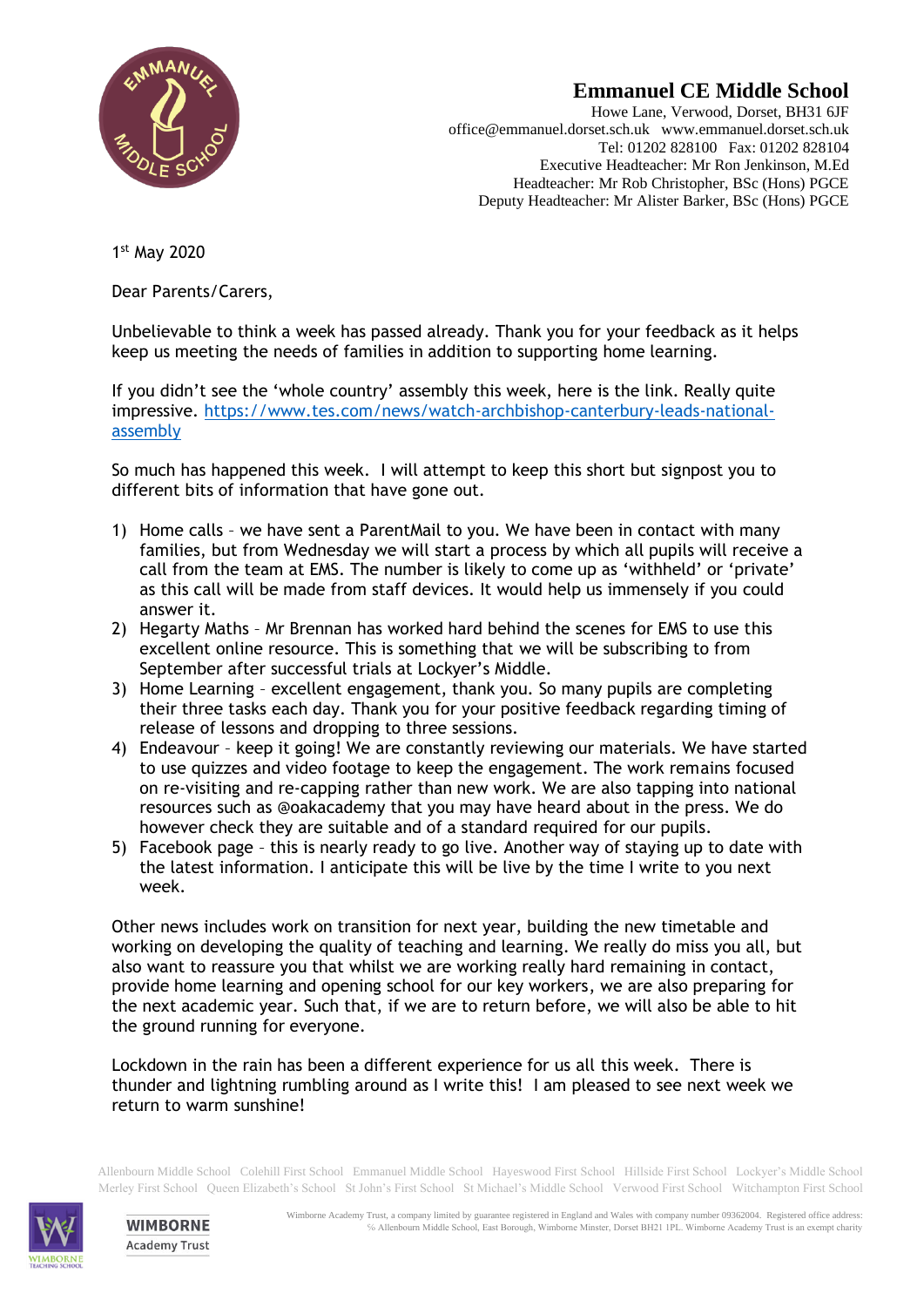

## **Emmanuel CE Middle School**

Howe Lane, Verwood, Dorset, BH31 6JF office@emmanuel.dorset.sch.uk www.emmanuel.dorset.sch.uk Tel: 01202 828100 Fax: 01202 828104 Executive Headteacher: Mr Ron Jenkinson, M.Ed Headteacher: Mr Rob Christopher, BSc (Hons) PGCE Deputy Headteacher: Mr Alister Barker, BSc (Hons) PGCE

1 st May 2020

Dear Parents/Carers,

Unbelievable to think a week has passed already. Thank you for your feedback as it helps keep us meeting the needs of families in addition to supporting home learning.

If you didn't see the 'whole country' assembly this week, here is the link. Really quite impressive. [https://www.tes.com/news/watch-archbishop-canterbury-leads-national](https://www.tes.com/news/watch-archbishop-canterbury-leads-national-assembly)[assembly](https://www.tes.com/news/watch-archbishop-canterbury-leads-national-assembly)

So much has happened this week. I will attempt to keep this short but signpost you to different bits of information that have gone out.

- 1) Home calls we have sent a ParentMail to you. We have been in contact with many families, but from Wednesday we will start a process by which all pupils will receive a call from the team at EMS. The number is likely to come up as 'withheld' or 'private' as this call will be made from staff devices. It would help us immensely if you could answer it.
- 2) Hegarty Maths Mr Brennan has worked hard behind the scenes for EMS to use this excellent online resource. This is something that we will be subscribing to from September after successful trials at Lockyer's Middle.
- 3) Home Learning excellent engagement, thank you. So many pupils are completing their three tasks each day. Thank you for your positive feedback regarding timing of release of lessons and dropping to three sessions.
- 4) Endeavour keep it going! We are constantly reviewing our materials. We have started to use quizzes and video footage to keep the engagement. The work remains focused on re-visiting and re-capping rather than new work. We are also tapping into national resources such as @oakacademy that you may have heard about in the press. We do however check they are suitable and of a standard required for our pupils.
- 5) Facebook page this is nearly ready to go live. Another way of staying up to date with the latest information. I anticipate this will be live by the time I write to you next week.

Other news includes work on transition for next year, building the new timetable and working on developing the quality of teaching and learning. We really do miss you all, but also want to reassure you that whilst we are working really hard remaining in contact, provide home learning and opening school for our key workers, we are also preparing for the next academic year. Such that, if we are to return before, we will also be able to hit the ground running for everyone.

Lockdown in the rain has been a different experience for us all this week. There is thunder and lightning rumbling around as I write this! I am pleased to see next week we return to warm sunshine!

Allenbourn Middle School Colehill First School Emmanuel Middle School Hayeswood First School Hillside First School Lockyer's Middle School Merley First School Queen Elizabeth's School St John's First School St Michael's Middle School Verwood First School Witchampton First School



**WIMBORNE Academy Trust**  Wimborne Academy Trust, a company limited by guarantee registered in England and Wales with company number 09362004. Registered office address: ℅ Allenbourn Middle School, East Borough, Wimborne Minster, Dorset BH21 1PL. Wimborne Academy Trust is an exempt charity